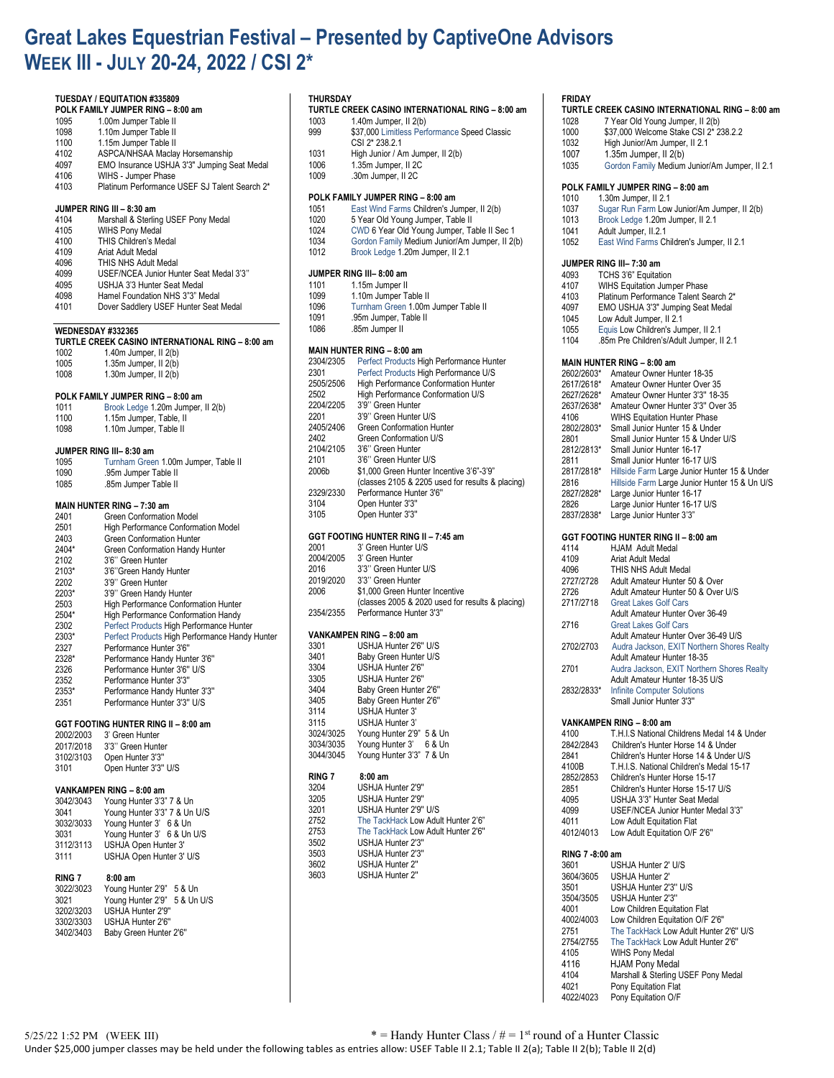# **Great Lakes Equestrian Festival – Presented by CaptiveOne Advisors WEEK III - JULY 20-24, 2022 / CSI 2\***

## **TUESDAY / EQUITATION #335809 POLK FAMILY JUMPER RING – 8:00 am** 1095 1.00m Jumper Table II<br>1098 110m Jumper Table II 1098 1.10m Jumper Table II<br>1100 1.15m Jumper Table II 1100 1.15m Jumper Table II<br>4102 ASPCA/NHSAA Maclay 4102 ASPCA/NHSAA Maclay Horsemanship<br>4097 EMO Insurance USHJA 3'3" Jumping S 4097 EMO Insurance USHJA 3'3" Jumping Seat Medal 4106 WIHS - Jumper Phase<br>4103 Platinum Performance Platinum Performance USEF SJ Talent Search 2\* **JUMPER RING III – 8:30 am** 4104 Marshall & Sterling USEF Pony Medal 4105 WIHS Pony Medal<br>4100 THIS Children's Me 4100 THIS Children's Medal<br>4109 Ariat Adult Medal 4109 Ariat Adult Medal<br>4096 THIS NHS Adult I 4096 THIS NHS Adult Medal<br>4099 USEF/NCEA Junior Hu 4099 USEF/NCEA Junior Hunter Seat Medal 3'3'' 4095 USHJA 3'3 Hunter Seat Medal<br>4098 Hamel Foundation NHS 3"3" M Hamel Foundation NHS 3"3" Medal 4101 Dover Saddlery USEF Hunter Seat Medal **WEDNESDAY #332365 TURTLE CREEK CASINO INTERNATIONAL RING – 8:00 am** 1002 1.40m Jumper, II 2(b)<br>1005 1.35m Jumper, II 2(b) 1005 1.35m Jumper, II 2(b)<br>1008 1.30m Jumper, II 2(b) 1.30m Jumper, II  $2(b)$ **POLK FAMILY JUMPER RING – 8:00 am** 1011 Brook Ledge 1.20m Jumper, II 2(b) 1.15m Jumper, Table, II 1098 1.10m Jumper, Table II **JUMPER RING III– 8:30 am** 1095 Turnham Green 1.00m Jumper, Table II 1090 .95m Jumper Table II .85m Jumper Table II **MAIN HUNTER RING – 7:30 am** 2401 Green Conformation Model<br>2501 High Performance Conform 2501 High Performance Conformation Model 2403 Green Conformation Hunter<br>2404\* Green Conformation Handy 2404\* Green Conformation Handy Hunter<br>2102 3'6'' Green Hunter 2102 3'6" Green Hunter<br>2103\* 3'6" Green Handy 2103\* 3'6"Green Handy Hunter<br>2202 3'9" Green Hunter 2202 3'9" Green Hunter<br>2203\* 3'9" Green Handy 2203\* 3'9" Green Handy Hunter<br>2503 High Performance Confor 2503 High Performance Conformation Hunter<br>2504\* High Performance Conformation Handy 2504\* High Performance Conformation Handy<br>2302 Perfect Products High Performance Hun 2302 Perfect Products High Performance Hunter<br>2303\* Perfect Products High Performance Handy 2303\* Perfect Products High Performance Handy Hunter Performance Hunter 3'6" 2328\* Performance Handy Hunter 3'6'' 2326 Performance Hunter 3'6" U/S<br>2352 Performance Hunter 3'3" Performance Hunter 3'3" 2353\* Performance Handy Hunter 3'3'' 2351 Performance Hunter 3'3'' U/S **GGT FOOTING HUNTER RING II – 8:00 am** 2002/2003 3' Green Hunter<br>2017/2018 3'3'' Green Hunt 2017/2018 3'3'' Green Hunter Open Hunter 3'3" 3101 Open Hunter 3'3'' U/S **VANKAMPEN RING – 8:00 am** Young Hunter 3'3" 7 & Un 3041 Young Hunter 3'3" 7 & Un U/S 3032/3033 Young Hunter 3' 6 & Un 3031 Young Hunter 3' 6 & Un U/S 3112/3113 USHJA Open Hunter 3' USHJA Open Hunter 3' U/S **RING 7 8:00 am** Young Hunter 2'9" 5 & Un 3021 Young Hunter 2'9" 5 & Un U/S 3202/3203 USHJA Hunter 2'9'' 3302/3303 USHJA Hunter 2'6'' Baby Green Hunter 2'6"

# **THURSDAY**

| .    |                                                  |
|------|--------------------------------------------------|
|      | TURTLE CREEK CASINO INTERNATIONAL RING - 8:00 am |
| 1002 | $1.40m$ lumper $11.9/h$                          |

- 1003 1.40m Jumper, II 2(b) 999 \$37,000 Limitless Performance Speed Classic CSI 2\* 238.2.1 1031 High Junior / Am Jumper, II 2(b)<br>1006 1.35m Jumper, II 2C
- 1006 1.35m Jumper, II 2C<br>1009 30m Jumper, II 2C .30m Jumper, II 2C

### **POLK FAMILY JUMPER RING – 8:00 am**

| 1051 | East Wind Farms Children's Jumper, II 2(b)     |
|------|------------------------------------------------|
| 1020 | 5 Year Old Young Jumper, Table II              |
| 1024 | CWD 6 Year Old Young Jumper, Table II Sec 1    |
| 1034 | Gordon Family Medium Junior/Am Jumper, II 2(b) |
| 1012 | Brook Ledge 1.20m Jumper, II 2.1               |

### **JUMPER RING III– 8:00 am**

| 1101 | 1.15m Jumper II |
|------|-----------------|
| 1000 | $\cdots$        |

- 1099 1.10m Jumper Table II 1096 Turnham Green 1.00m Jumper Table II
- 
- 1091 .95m Jumper, Table II 1086 .85m Jumper II

### **MAIN HUNTER RING – 8:00 am**

| 2304/2305                            | Perfect Products High Performance Hunter         |
|--------------------------------------|--------------------------------------------------|
| 2301                                 | Perfect Products High Performance U/S            |
| 2505/2506                            | High Performance Conformation Hunter             |
| 2502                                 | High Performance Conformation U/S                |
| 2204/2205                            | 3'9" Green Hunter                                |
| 2201                                 | 3'9" Green Hunter U/S                            |
| 2405/2406                            | Green Conformation Hunter                        |
| 2402                                 | Green Conformation U/S                           |
| 2104/2105                            | 3'6" Green Hunter                                |
| 2101                                 | 3'6" Green Hunter U/S                            |
| 2006b                                | \$1,000 Green Hunter Incentive 3'6"-3'9"         |
|                                      | (classes 2105 & 2205 used for results & placing) |
| 2329/2330                            | Performance Hunter 3'6"                          |
| 3104                                 | Open Hunter 3'3"                                 |
| 3105                                 | Open Hunter 3'3"                                 |
|                                      |                                                  |
| GGT FOOTING HUNTER RING II - 7:45 am |                                                  |
| 2001                                 | 3' Green Hunter U/S                              |

| ZUU L     | <u>JUBELI HUITIELUJ</u>                          |
|-----------|--------------------------------------------------|
| 2004/2005 | 3' Green Hunter                                  |
| 2016      | 3'3" Green Hunter U/S                            |
| 2019/2020 | 3'3" Green Hunter                                |
| 2006      | \$1,000 Green Hunter Incentive                   |
|           | (classes 2005 & 2020 used for results & placing) |
| 2354/2355 | Performance Hunter 3'3"                          |
|           |                                                  |

## **VANKAMPEN RING – 8:00 am**

| USHJA Hunter 2'6" U/S    |
|--------------------------|
| Baby Green Hunter U/S    |
| USHJA Hunter 2'6"        |
| USHJA Hunter 2'6"        |
| Baby Green Hunter 2'6"   |
| Baby Green Hunter 2'6"   |
| USHJA Hunter 3'          |
| USHJA Hunter 3'          |
| Young Hunter 2'9" 5 & Un |
| Young Hunter 3' 6 & Un   |
| Young Hunter 3'3" 7 & Un |
| $8:00 \text{ am}$        |
| USHJA Hunter 2'9"        |
|                          |

| 3204 | USHJA Hunter 2'9"                  |
|------|------------------------------------|
| 3205 | USHJA Hunter 2'9"                  |
| 3201 | USHJA Hunter 2'9" U/S              |
| 2752 | The TackHack Low Adult Hunter 2'6" |
| 2753 | The TackHack Low Adult Hunter 2'6" |
| 3502 | USHJA Hunter 2'3"                  |
| 3503 | USHJA Hunter 2'3"                  |
| 3602 | <b>USHJA Hunter 2"</b>             |
| 3603 | USHJA Hunter 2"                    |

# **FRIDAY**

| <b>TURTLE CREEK CASINO INTERNATIONAL RING - 8:00 am</b> |                                               |  |
|---------------------------------------------------------|-----------------------------------------------|--|
| 1028                                                    | 7 Year Old Young Jumper, II 2(b)              |  |
| 1000                                                    | \$37,000 Welcome Stake CSI 2* 238.2.2         |  |
| 1032                                                    | High Junior/Am Jumper, II 2.1                 |  |
| 1007                                                    | $1.35m$ Jumper, II $2(b)$                     |  |
| 1035                                                    | Gordon Family Medium Junior/Am Jumper, II 2.1 |  |

# **POLK FAMILY JUMPER RING – 8:00 am**

- 1010 1.30m Jumper, II 2.1<br>1037 Sugar Run Farm Low
- 1037 Sugar Run Farm Low Junior/Am Jumper, II 2(b)<br>1013 Brook Ledge 1.20m Jumper, II 2.1
- Brook Ledge 1.20m Jumper, II 2.1
- 1041 Adult Jumper, II.2.1<br>1052 East Wind Farms CI East Wind Farms Children's Jumper, II 2.1

# **JUMPER RING III– 7:30 am**

| 4093 | TCHS 3'6" Equitation                     |
|------|------------------------------------------|
| 4107 | <b>WIHS Equitation Jumper Phase</b>      |
| 4103 | Platinum Performance Talent Search 2*    |
| 4097 | EMO USHJA 3'3" Jumping Seat Medal        |
| 1045 | Low Adult Jumper, II 2.1                 |
| 1055 | Equis Low Children's Jumper, II 2.1      |
| 1104 | .85m Pre Children's/Adult Jumper. II 2.1 |

## **MAIN HUNTER RING – 8:00 am**

| MAIN HUNTFR RING – 8:00 am |                                               |  |
|----------------------------|-----------------------------------------------|--|
| 2602/2603*                 | Amateur Owner Hunter 18-35                    |  |
| 2617/2618*                 | Amateur Owner Hunter Over 35                  |  |
| 2627/2628*                 | Amateur Owner Hunter 3'3" 18-35               |  |
| 2637/2638*                 | Amateur Owner Hunter 3'3" Over 35             |  |
| 4106                       | <b>WIHS Equitation Hunter Phase</b>           |  |
| 2802/2803*                 | Small Junior Hunter 15 & Under                |  |
| 2801                       | Small Junior Hunter 15 & Under U/S            |  |
| 2812/2813*                 | Small Junior Hunter 16-17                     |  |
| 2811                       | Small Junior Hunter 16-17 U/S                 |  |
| 2817/2818*                 | Hillside Farm Large Junior Hunter 15 & Under  |  |
| 2816                       | Hillside Farm Large Junior Hunter 15 & Un U/S |  |
| 2827/2828*                 | Large Junior Hunter 16-17                     |  |
| 2826                       | Large Junior Hunter 16-17 U/S                 |  |
| 2837/2838*                 | Large Junior Hunter 3'3"                      |  |
|                            |                                               |  |
|                            | GGT FOOTING HUNTER RING II - 8:00 am          |  |
| 4114                       | HJAM Adult Medal                              |  |
| 4109                       | Ariat Adult Medal                             |  |
| 4096                       | THIS NHS Adult Medal                          |  |
| 2727/2728                  | Adult Amateur Hunter 50 & Over                |  |
| 2726                       | Adult Amateur Hunter 50 & Over U/S            |  |
| 2717/2718                  | <b>Great Lakes Golf Cars</b>                  |  |
|                            | Adult Amateur Hunter Over 36-49               |  |
| 2716                       | <b>Great Lakes Golf Cars</b>                  |  |
|                            | Adult Amateur Hunter Over 36-49 U/S           |  |
| 2702/2703                  | Audra Jackson, EXIT Northern Shores Realty    |  |
|                            | Adult Amateur Hunter 18-35                    |  |
| 2701                       | Audra Jackson, EXIT Northern Shores Realty    |  |
|                            | Adult Amateur Hunter 18-35 U/S                |  |
| 2832/2833*                 | <b>Infinite Computer Solutions</b>            |  |
|                            | Small Junior Hunter 3'3"                      |  |

# **VANKAMPEN RING – 8:00 am**

|           | VANNAMELN NING - 0.00 400                   |
|-----------|---------------------------------------------|
| 4100      | T.H.I.S National Childrens Medal 14 & Under |
| 2842/2843 | Children's Hunter Horse 14 & Under          |
| 2841      | Children's Hunter Horse 14 & Under U/S      |
| 4100B     | T.H.I.S. National Children's Medal 15-17    |
| 2852/2853 | Children's Hunter Horse 15-17               |
| 2851      | Children's Hunter Horse 15-17 U/S           |
| 4095      | USHJA 3'3" Hunter Seat Medal                |
| 4099      | USEF/NCEA Junior Hunter Medal 3'3"          |
| 4011      | Low Adult Equitation Flat                   |
| 4012/4013 | Low Adult Equitation O/F 2'6"               |
|           |                                             |

# **RING 7 -8:00 am**

| 3601      | USHJA Hunter 2' U/S                    |
|-----------|----------------------------------------|
| 3604/3605 | USHJA Hunter 2'                        |
| 3501      | USHJA Hunter 2'3" U/S                  |
| 3504/3505 | USHJA Hunter 2'3"                      |
| 4001      | Low Children Equitation Flat           |
| 4002/4003 | Low Children Equitation O/F 2'6"       |
| 2751      | The TackHack Low Adult Hunter 2'6" U/S |
| 2754/2755 | The TackHack Low Adult Hunter 2'6"     |
| 4105      | WIHS Pony Medal                        |
| 4116      | <b>HJAM Pony Medal</b>                 |
| 4104      | Marshall & Sterling USEF Pony Medal    |
| 4021      | Pony Equitation Flat                   |
| 4022/4023 | Pony Equitation O/F                    |
|           |                                        |